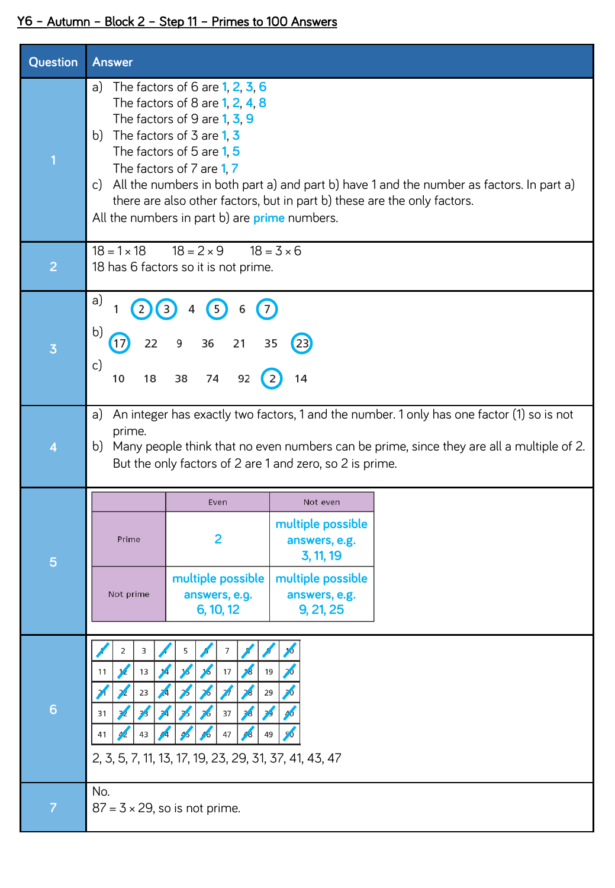## **Y6 –** Autumn – Block 2 – Step 11 – Primes to 100 Answers

| Question                | <b>Answer</b>                                                                                                                                                                                                                                                                                                                                                                                                                                     |
|-------------------------|---------------------------------------------------------------------------------------------------------------------------------------------------------------------------------------------------------------------------------------------------------------------------------------------------------------------------------------------------------------------------------------------------------------------------------------------------|
| $\overline{\mathbf{1}}$ | The factors of 6 are $1, 2, 3, 6$<br>a)<br>The factors of 8 are 1, 2, 4, 8<br>The factors of 9 are $1, 3, 9$<br>The factors of 3 are $1, 3$<br>b)<br>The factors of 5 are 1, 5<br>The factors of 7 are 1, 7<br>All the numbers in both part a) and part b) have 1 and the number as factors. In part a)<br>c)<br>there are also other factors, but in part b) these are the only factors.<br>All the numbers in part b) are <b>prime</b> numbers. |
| $\overline{2}$          | $18 = 2 \times 9$<br>$18 = 1 \times 18$<br>$18 = 3 \times 6$<br>18 has 6 factors so it is not prime.                                                                                                                                                                                                                                                                                                                                              |
| $\overline{\mathbf{3}}$ | a)<br>(7)<br>$\left(5\right)$<br>6<br>b)<br>36<br>21<br>22<br>35<br>9<br>c)<br>92<br>10<br>38<br>74<br>18<br>14                                                                                                                                                                                                                                                                                                                                   |
| 4                       | An integer has exactly two factors, 1 and the number. 1 only has one factor (1) so is not<br>a)<br>prime.<br>Many people think that no even numbers can be prime, since they are all a multiple of 2.<br>b)<br>But the only factors of 2 are 1 and zero, so 2 is prime.                                                                                                                                                                           |
| 5                       | Even<br>Not even<br>multiple possible<br>2<br>Prime<br>answers, e.g.<br>3, 11, 19<br>multiple possible<br>multiple possible<br>Not prime<br>answers, e.g.<br>answers, e.g.<br>6, 10, 12<br>9, 21, 25                                                                                                                                                                                                                                              |
| 6                       | 2<br>3<br>7<br>13<br>17<br>19<br>11<br>29<br>23<br>37<br>31<br>43<br>47<br>49<br>41<br>2, 3, 5, 7, 11, 13, 17, 19, 23, 29, 31, 37, 41, 43, 47                                                                                                                                                                                                                                                                                                     |
| $\overline{7}$          | No.<br>$87 = 3 \times 29$ , so is not prime.                                                                                                                                                                                                                                                                                                                                                                                                      |